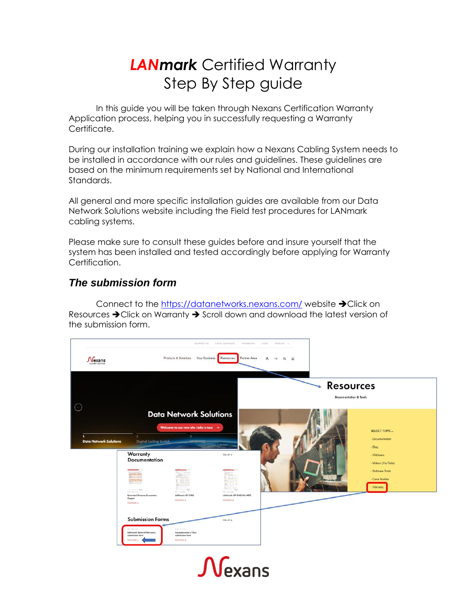## *LANmark* Certified Warranty Step By Step guide

In this guide you will be taken through Nexans Certification Warranty Application process, helping you in successfully requesting a Warranty Certificate.

During our installation training we explain how a Nexans Cabling System needs to be installed in accordance with our rules and guidelines. These guidelines are based on the minimum requirements set by National and International Standards.

All general and more specific installation guides are available from our Data Network Solutions website including the Field test procedures for LANmark cabling systems.

Please make sure to consult these guides before and insure yourself that the system has been installed and tested accordingly before applying for Warranty Certification.

## *The submission form*

Connect to the<https://datanetworks.nexans.com/> website ➔Click on Resources ➔Click on Warranty ➔ Scroll down and download the latest version of the submission form.

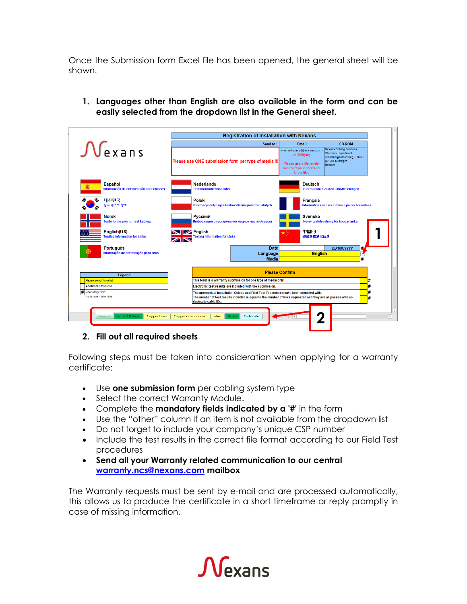Once the Submission form Excel file has been opened, the general sheet will be shown.

**1. Languages other than English are also available in the form and can be easily selected from the dropdown list in the General sheet.**

|                                                                                                                                                                          |                                     | <b>Registration of Installation with Nexans</b>                                                                                  |                |                                                                                                                             |  |  |
|--------------------------------------------------------------------------------------------------------------------------------------------------------------------------|-------------------------------------|----------------------------------------------------------------------------------------------------------------------------------|----------------|-----------------------------------------------------------------------------------------------------------------------------|--|--|
|                                                                                                                                                                          |                                     | Send to:                                                                                                                         |                | <b>CD-ROM</b>                                                                                                               |  |  |
| $\mathcal{N}$ exans                                                                                                                                                      |                                     | Please use ONE submission form per type of media !!!                                                                             |                | <b>Nexans Cabling Solutions</b><br><b>Warranty Department</b><br>Alsembergesteenweg, 2 Bus 3<br>B-1501 Buizingen<br>Belgium |  |  |
| <b>Español</b><br>Información de certificación para enlaces                                                                                                              | <b>Nederlands</b>                   | <b>Deutsch</b><br><b>Testinformatie voor links</b><br>Informationen zu den Link-Messungen                                        |                |                                                                                                                             |  |  |
| 대한민국<br>링크 테스트 정보                                                                                                                                                        | <b>Polski</b>                       | <b>Francais</b><br>Informacje dotyczące testów dla linii połączeń stałych<br>Informations sur les câbles à paires torsadées      |                |                                                                                                                             |  |  |
| <b>Norsk</b><br><b>Testinformasion for fast kabling</b>                                                                                                                  | <b>Русский</b>                      | Информация о тестировании медной части объекта                                                                                   | <b>Svenska</b> | Typ av testutrustning för kopparlänkar                                                                                      |  |  |
| English(US)<br><b>Testing Information for Links</b>                                                                                                                      | <b>IV</b> English                   | 中国的<br>链路连接测试信息<br>Testing Information for Links                                                                                 |                |                                                                                                                             |  |  |
| <b>Português</b>                                                                                                                                                         |                                     | Date                                                                                                                             |                | 北<br><b>DD/MM/YYYY</b>                                                                                                      |  |  |
| Informação de certificação para links                                                                                                                                    |                                     | Language<br><b>Media</b>                                                                                                         | <b>English</b> | н                                                                                                                           |  |  |
| Legend<br><b>Please select from list</b>                                                                                                                                 |                                     | <b>Please Confirm</b>                                                                                                            |                |                                                                                                                             |  |  |
| Additional information                                                                                                                                                   |                                     | This form is a warranty submission for one type of media only.<br>#<br>Electronic test results are included with the submission. |                |                                                                                                                             |  |  |
| # Mandatory Field                                                                                                                                                        |                                     | #<br>The appropriate Installation Guides and Field Test Procedures have been complied with.                                      |                |                                                                                                                             |  |  |
| Version 1.20 - 01 May 2015<br>The number of test results included is equal to the number of links requested and they are all passes with no<br>#<br>duplicate cable IDs. |                                     |                                                                                                                                  |                |                                                                                                                             |  |  |
| <b>Project Details</b><br><b>Copper Links</b><br>General                                                                                                                 | <b>Copper Crossconnect</b><br>Fibre | Certificate<br><b>Notes</b>                                                                                                      |                |                                                                                                                             |  |  |

## **2. Fill out all required sheets**

Following steps must be taken into consideration when applying for a warranty certificate:

- Use **one submission form** per cabling system type
- Select the correct Warranty Module.
- Complete the **mandatory fields indicated by a '#'** in the form
- Use the "other" column if an item is not available from the dropdown list
- Do not forget to include your company's unique CSP number
- Include the test results in the correct file format according to our Field Test procedures
- **Send all your Warranty related communication to our central [warranty.ncs@nexans.com](mailto:warranty.ncs@nexans.com) mailbox**

The Warranty requests must be sent by e-mail and are processed automatically, this allows us to produce the certificate in a short timeframe or reply promptly in case of missing information.

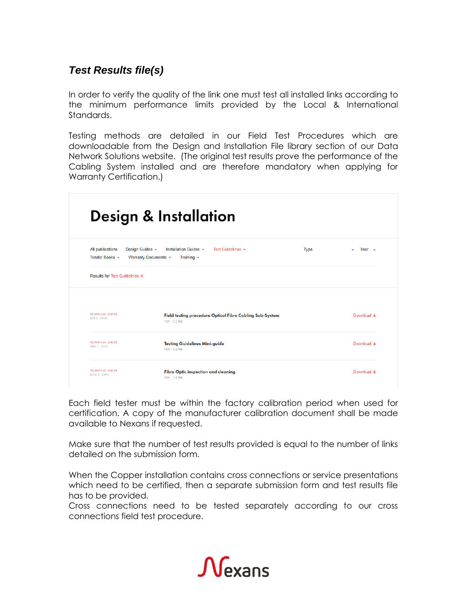## *Test Results file(s)*

In order to verify the quality of the link one must test all installed links according to the minimum performance limits provided by the Local & International Standards.

Testing methods are detailed in our Field Test Procedures which are downloadable from the Design and Installation File library section of our Data Network Solutions website. (The original test results prove the performance of the Cabling System installed and are therefore mandatory when applying for Warranty Certification.)

|                                                                               | Design & Installation                                                    |             |                             |
|-------------------------------------------------------------------------------|--------------------------------------------------------------------------|-------------|-----------------------------|
| All publications<br>Design Guides v<br>Tender Books v<br>Warranty Documents v | Installation Guides v<br>Test Guidelines v<br>Training $\sim$            | <b>Type</b> | Year $\sim$<br>$\checkmark$ |
| <b>Results for Test Guidelines X</b>                                          |                                                                          |             |                             |
| <b>TECHNICAL GUIDE</b><br>FEB 1, 2020                                         | Field testing procedure Optical Fibre Cabling Sub-System<br>PDF - 2.3 MB |             | Download ±                  |
| <b>TECHNICAL GUIDE</b><br>JAN 1, 2017                                         | <b>Testing Guidelines Mini-guide</b><br><b>PDF - 3.0 MB</b>              |             | Download +                  |
| <b>TECHNICAL GUIDE</b><br>AUG 1, 2015                                         | <b>Fibre Optic inspection and cleaning</b><br>PDF - 1.5 MB               |             | Download $\pm$              |

Each field tester must be within the factory calibration period when used for certification. A copy of the manufacturer calibration document shall be made available to Nexans if requested.

Make sure that the number of test results provided is equal to the number of links detailed on the submission form.

When the Copper installation contains cross connections or service presentations which need to be certified, then a separate submission form and test results file has to be provided.

Cross connections need to be tested separately according to our cross connections field test procedure.